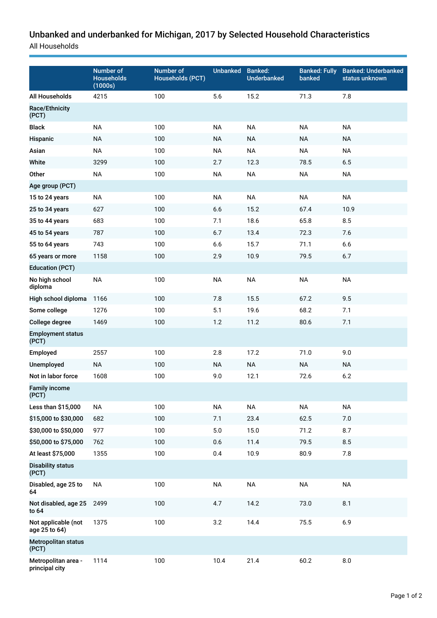## Unbanked and underbanked for Michigan, 2017 by Selected Household Characteristics

All Households

|                                       | Number of<br><b>Households</b><br>(1000s) | Number of<br><b>Households (PCT)</b> | <b>Unbanked</b> | <b>Banked:</b><br><b>Underbanked</b> | <b>Banked: Fully</b><br>banked | <b>Banked: Underbanked</b><br>status unknown |
|---------------------------------------|-------------------------------------------|--------------------------------------|-----------------|--------------------------------------|--------------------------------|----------------------------------------------|
| All Households                        | 4215                                      | 100                                  | 5.6             | 15.2                                 | 71.3                           | 7.8                                          |
| <b>Race/Ethnicity</b><br>(PCT)        |                                           |                                      |                 |                                      |                                |                                              |
| <b>Black</b>                          | <b>NA</b>                                 | 100                                  | <b>NA</b>       | <b>NA</b>                            | <b>NA</b>                      | <b>NA</b>                                    |
| Hispanic                              | <b>NA</b>                                 | 100                                  | <b>NA</b>       | <b>NA</b>                            | <b>NA</b>                      | <b>NA</b>                                    |
| Asian                                 | <b>NA</b>                                 | 100                                  | <b>NA</b>       | <b>NA</b>                            | <b>NA</b>                      | <b>NA</b>                                    |
| White                                 | 3299                                      | 100                                  | 2.7             | 12.3                                 | 78.5                           | 6.5                                          |
| Other                                 | <b>NA</b>                                 | 100                                  | <b>NA</b>       | <b>NA</b>                            | <b>NA</b>                      | <b>NA</b>                                    |
| Age group (PCT)                       |                                           |                                      |                 |                                      |                                |                                              |
| 15 to 24 years                        | <b>NA</b>                                 | 100                                  | <b>NA</b>       | <b>NA</b>                            | <b>NA</b>                      | <b>NA</b>                                    |
| 25 to 34 years                        | 627                                       | 100                                  | 6.6             | 15.2                                 | 67.4                           | 10.9                                         |
| 35 to 44 years                        | 683                                       | 100                                  | 7.1             | 18.6                                 | 65.8                           | 8.5                                          |
| 45 to 54 years                        | 787                                       | 100                                  | 6.7             | 13.4                                 | 72.3                           | 7.6                                          |
| 55 to 64 years                        | 743                                       | 100                                  | 6.6             | 15.7                                 | 71.1                           | 6.6                                          |
| 65 years or more                      | 1158                                      | 100                                  | 2.9             | 10.9                                 | 79.5                           | 6.7                                          |
| <b>Education (PCT)</b>                |                                           |                                      |                 |                                      |                                |                                              |
| No high school<br>diploma             | <b>NA</b>                                 | 100                                  | <b>NA</b>       | <b>NA</b>                            | <b>NA</b>                      | <b>NA</b>                                    |
| High school diploma                   | 1166                                      | 100                                  | 7.8             | 15.5                                 | 67.2                           | 9.5                                          |
| Some college                          | 1276                                      | 100                                  | 5.1             | 19.6                                 | 68.2                           | 7.1                                          |
| College degree                        | 1469                                      | 100                                  | 1.2             | 11.2                                 | 80.6                           | 7.1                                          |
| <b>Employment status</b><br>(PCT)     |                                           |                                      |                 |                                      |                                |                                              |
| Employed                              | 2557                                      | 100                                  | 2.8             | 17.2                                 | 71.0                           | 9.0                                          |
| Unemployed                            | <b>NA</b>                                 | 100                                  | <b>NA</b>       | <b>NA</b>                            | <b>NA</b>                      | <b>NA</b>                                    |
| Not in labor force                    | 1608                                      | 100                                  | 9.0             | 12.1                                 | 72.6                           | 6.2                                          |
| <b>Family income</b><br>(PCT)         |                                           |                                      |                 |                                      |                                |                                              |
| Less than \$15,000                    | <b>NA</b>                                 | 100                                  | <b>NA</b>       | <b>NA</b>                            | $\sf NA$                       | <b>NA</b>                                    |
| \$15,000 to \$30,000                  | 682                                       | 100                                  | 7.1             | 23.4                                 | 62.5                           | 7.0                                          |
| \$30,000 to \$50,000                  | 977                                       | 100                                  | $5.0\,$         | 15.0                                 | 71.2                           | 8.7                                          |
| \$50,000 to \$75,000                  | 762                                       | 100                                  | 0.6             | 11.4                                 | 79.5                           | 8.5                                          |
| At least \$75,000                     | 1355                                      | 100                                  | 0.4             | 10.9                                 | 80.9                           | 7.8                                          |
| <b>Disability status</b><br>(PCT)     |                                           |                                      |                 |                                      |                                |                                              |
| Disabled, age 25 to<br>64             | <b>NA</b>                                 | 100                                  | $\sf NA$        | <b>NA</b>                            | <b>NA</b>                      | <b>NA</b>                                    |
| Not disabled, age 25<br>to 64         | 2499                                      | 100                                  | 4.7             | 14.2                                 | 73.0                           | 8.1                                          |
| Not applicable (not<br>age 25 to 64)  | 1375                                      | 100                                  | 3.2             | 14.4                                 | 75.5                           | 6.9                                          |
| Metropolitan status<br>(PCT)          |                                           |                                      |                 |                                      |                                |                                              |
| Metropolitan area -<br>principal city | 1114                                      | 100                                  | 10.4            | 21.4                                 | 60.2                           | $8.0\,$                                      |